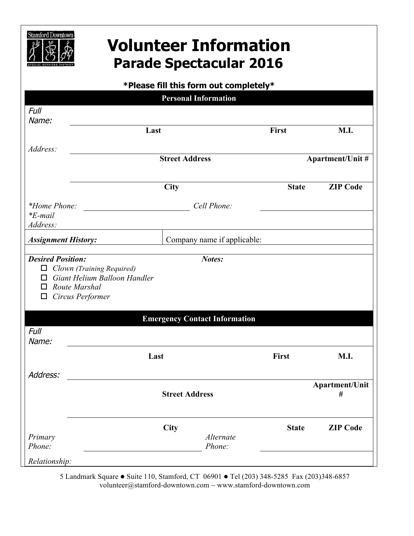

## **Volunteer Information Parade Spectacular 2016**

| *Please fill this form out completely* |  |
|----------------------------------------|--|
| <b>Personal Information</b>            |  |

| Full                                          |                                                                                                                                        |              |                         |
|-----------------------------------------------|----------------------------------------------------------------------------------------------------------------------------------------|--------------|-------------------------|
| Name:                                         |                                                                                                                                        |              |                         |
|                                               | Last                                                                                                                                   | <b>First</b> | M.I.                    |
| Address:                                      |                                                                                                                                        |              |                         |
|                                               | <b>Street Address</b>                                                                                                                  |              | <b>Apartment/Unit #</b> |
|                                               | City                                                                                                                                   | <b>State</b> | <b>ZIP Code</b>         |
|                                               | *Home Phone: $\qquad \qquad$<br>Cell Phone:                                                                                            |              |                         |
| $E$ -mail <sup>*</sup><br>Address:            |                                                                                                                                        |              |                         |
| <b>Assignment History:</b>                    | Company name if applicable:                                                                                                            |              |                         |
| $\Box$<br>□<br>□<br>ப<br><b>Full</b><br>Name: | Clown (Training Required)<br>Giant Helium Balloon Handler<br>Route Marshal<br>Circus Performer<br><b>Emergency Contact Information</b> |              |                         |
|                                               | Last                                                                                                                                   | First        | <b>M.I.</b>             |
| Address:                                      |                                                                                                                                        |              |                         |
|                                               | <b>Street Address</b>                                                                                                                  |              | Apartment/Unit<br>#     |
|                                               | City                                                                                                                                   | <b>State</b> | <b>ZIP Code</b>         |
| Primary<br>Phone:                             | Alternate<br>Phone:                                                                                                                    |              |                         |
| Relationship:                                 |                                                                                                                                        |              |                         |

5 Landmark Square · Suite 110, Stamford, CT 06901 · Tel (203) 348-5285 Fax (203)348-6857 volunteer@stamford-downtown.com ~ www.stamford-downtown.com